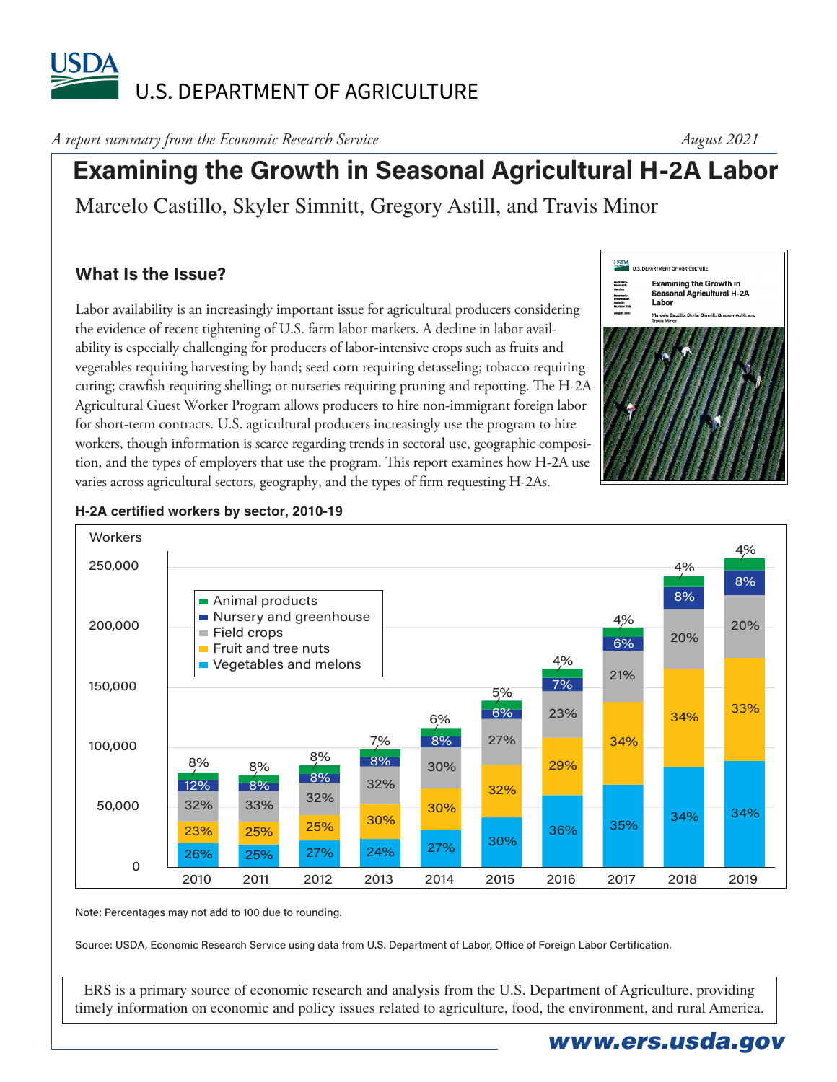# **USDA** U.S. DEPARTMENT OF AGRICULTURE

*A report summary from the Economic Research Service* 

*August 2021*

# **Examining the Growth in Seasonal Agricultural H-2A Labor**

Marcelo Castillo, Skyler Simnitt, Gregory Astill, and Travis Minor

## **What Is the Issue?**

Labor availability is an increasingly important issue for agricultural producers considering the evidence of recent tightening of U.S. farm labor markets. A decline in labor availability is especially challenging for producers of labor-intensive crops such as fruits and vegetables requiring harvesting by hand; seed corn requiring detasseling; tobacco requiring curing; crawfish requiring shelling; or nurseries requiring pruning and repotting. The H-2A Agricultural Guest Worker Program allows producers to hire non-immigrant foreign labor for short-term contracts. U.S. agricultural producers increasingly use the program to hire workers, though information is scarce regarding trends in sectoral use, geographic composition, and the types of employers that use the program. This report examines how H-2A use varies across agricultural sectors, geography, and the types of firm requesting H-2As.





#### **H-2A certified workers by sector, 2010-19**

Note: Percentages may not add to 100 due to rounding.

Source: USDA, Economic Research Service using data from U.S. Department of Labor, Office of Foreign Labor Certification.

ERS is a primary source of economic research and analysis from the U.S. Department of Agriculture, providing timely information on economic and policy issues related to agriculture, food, the environment, and rural America.